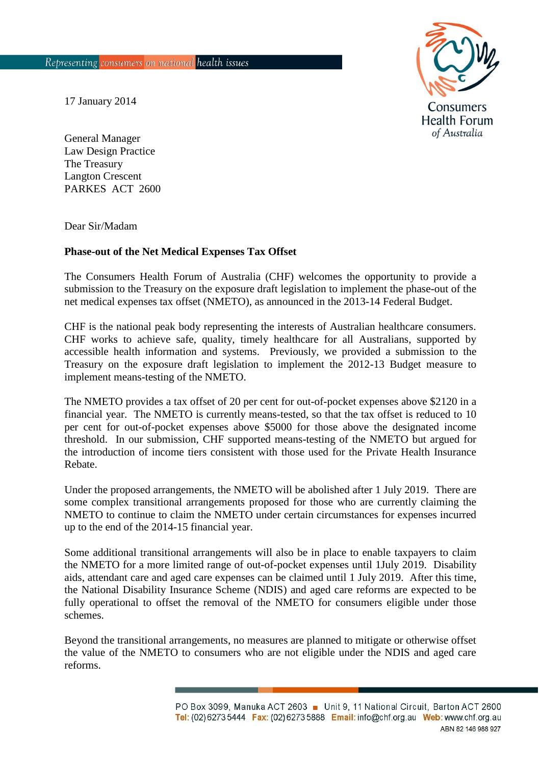

17 January 2014

General Manager Law Design Practice The Treasury Langton Crescent PARKES ACT 2600

Dear Sir/Madam

## **Phase-out of the Net Medical Expenses Tax Offset**

The Consumers Health Forum of Australia (CHF) welcomes the opportunity to provide a submission to the Treasury on the exposure draft legislation to implement the phase-out of the net medical expenses tax offset (NMETO), as announced in the 2013-14 Federal Budget.

CHF is the national peak body representing the interests of Australian healthcare consumers. CHF works to achieve safe, quality, timely healthcare for all Australians, supported by accessible health information and systems. Previously, we provided a submission to the Treasury on the exposure draft legislation to implement the 2012-13 Budget measure to implement means-testing of the NMETO.

The NMETO provides a tax offset of 20 per cent for out-of-pocket expenses above \$2120 in a financial year. The NMETO is currently means-tested, so that the tax offset is reduced to 10 per cent for out-of-pocket expenses above \$5000 for those above the designated income threshold. In our submission, CHF supported means-testing of the NMETO but argued for the introduction of income tiers consistent with those used for the Private Health Insurance Rebate.

Under the proposed arrangements, the NMETO will be abolished after 1 July 2019. There are some complex transitional arrangements proposed for those who are currently claiming the NMETO to continue to claim the NMETO under certain circumstances for expenses incurred up to the end of the 2014-15 financial year.

Some additional transitional arrangements will also be in place to enable taxpayers to claim the NMETO for a more limited range of out-of-pocket expenses until 1July 2019. Disability aids, attendant care and aged care expenses can be claimed until 1 July 2019. After this time, the National Disability Insurance Scheme (NDIS) and aged care reforms are expected to be fully operational to offset the removal of the NMETO for consumers eligible under those schemes.

Beyond the transitional arrangements, no measures are planned to mitigate or otherwise offset the value of the NMETO to consumers who are not eligible under the NDIS and aged care reforms.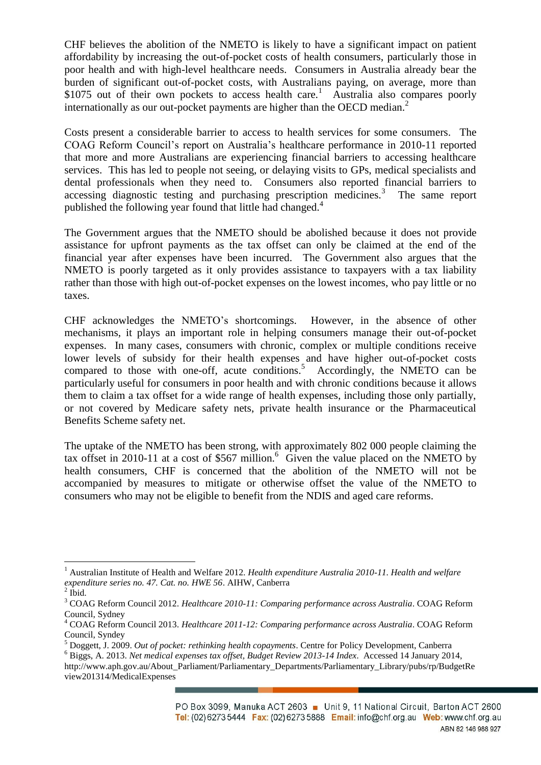CHF believes the abolition of the NMETO is likely to have a significant impact on patient affordability by increasing the out-of-pocket costs of health consumers, particularly those in poor health and with high-level healthcare needs. Consumers in Australia already bear the burden of significant out-of-pocket costs, with Australians paying, on average, more than \$1075 out of their own pockets to access health care.<sup>1</sup> Australia also compares poorly internationally as our out-pocket payments are higher than the OECD median.<sup>2</sup>

Costs present a considerable barrier to access to health services for some consumers. The COAG Reform Council's report on Australia's healthcare performance in 2010-11 reported that more and more Australians are experiencing financial barriers to accessing healthcare services. This has led to people not seeing, or delaying visits to GPs, medical specialists and dental professionals when they need to. Consumers also reported financial barriers to accessing diagnostic testing and purchasing prescription medicines. $3$  The same report published the following year found that little had changed.<sup>4</sup>

The Government argues that the NMETO should be abolished because it does not provide assistance for upfront payments as the tax offset can only be claimed at the end of the financial year after expenses have been incurred. The Government also argues that the NMETO is poorly targeted as it only provides assistance to taxpayers with a tax liability rather than those with high out-of-pocket expenses on the lowest incomes, who pay little or no taxes.

CHF acknowledges the NMETO's shortcomings. However, in the absence of other mechanisms, it plays an important role in helping consumers manage their out-of-pocket expenses. In many cases, consumers with chronic, complex or multiple conditions receive lower levels of subsidy for their health expenses and have higher out-of-pocket costs compared to those with one-off, acute conditions.<sup>5</sup> Accordingly, the NMETO can be particularly useful for consumers in poor health and with chronic conditions because it allows them to claim a tax offset for a wide range of health expenses, including those only partially, or not covered by Medicare safety nets, private health insurance or the Pharmaceutical Benefits Scheme safety net.

The uptake of the NMETO has been strong, with approximately 802 000 people claiming the tax offset in 2010-11 at a cost of \$567 million.<sup>6</sup> Given the value placed on the NMETO by health consumers, CHF is concerned that the abolition of the NMETO will not be accompanied by measures to mitigate or otherwise offset the value of the NMETO to consumers who may not be eligible to benefit from the NDIS and aged care reforms.

 $\overline{a}$ 

<sup>1</sup> Australian Institute of Health and Welfare 2012. *Health expenditure Australia 2010-11. Health and welfare expenditure series no. 47. Cat. no. HWE 56*. AIHW, Canberra

 $^{2}$  Ibid.

<sup>3</sup> COAG Reform Council 2012. *Healthcare 2010-11: Comparing performance across Australia*. COAG Reform Council, Sydney

<sup>4</sup> COAG Reform Council 2013. *Healthcare 2011-12: Comparing performance across Australia*. COAG Reform Council, Syndey

<sup>5</sup> Doggett, J. 2009. *Out of pocket: rethinking health copayments*. Centre for Policy Development, Canberra

<sup>6</sup> Biggs, A. 2013. *Net medical expenses tax offset, Budget Review 2013-14 Index*. Accessed 14 January 2014,

http://www.aph.gov.au/About\_Parliament/Parliamentary\_Departments/Parliamentary\_Library/pubs/rp/BudgetRe view201314/MedicalExpenses